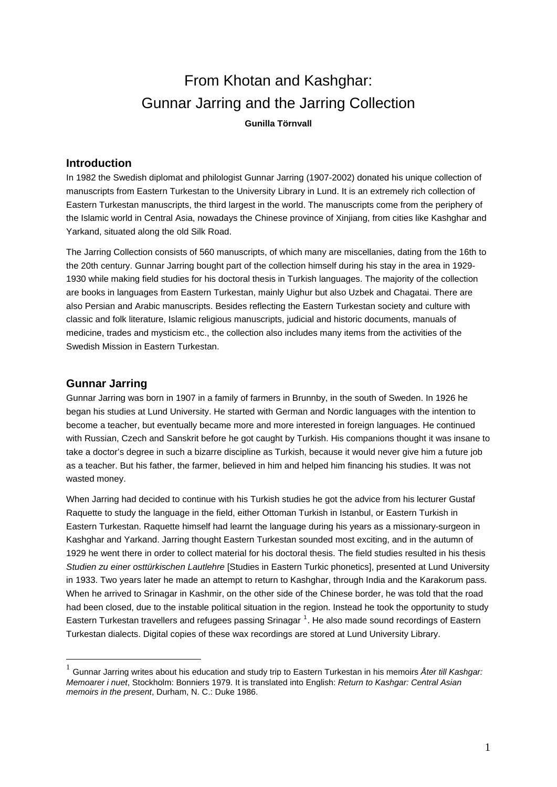# From Khotan and Kashghar: Gunnar Jarring and the Jarring Collection **Gunilla Törnvall**

# **Introduction**

In 1982 the Swedish diplomat and philologist Gunnar Jarring (1907-2002) donated his unique collection of manuscripts from Eastern Turkestan to the University Library in Lund. It is an extremely rich collection of Eastern Turkestan manuscripts, the third largest in the world. The manuscripts come from the periphery of the Islamic world in Central Asia, nowadays the Chinese province of Xinjiang, from cities like Kashghar and Yarkand, situated along the old Silk Road.

The Jarring Collection consists of 560 manuscripts, of which many are miscellanies, dating from the 16th to the 20th century. Gunnar Jarring bought part of the collection himself during his stay in the area in 1929- 1930 while making field studies for his doctoral thesis in Turkish languages. The majority of the collection are books in languages from Eastern Turkestan, mainly Uighur but also Uzbek and Chagatai. There are also Persian and Arabic manuscripts. Besides reflecting the Eastern Turkestan society and culture with classic and folk literature, Islamic religious manuscripts, judicial and historic documents, manuals of medicine, trades and mysticism etc., the collection also includes many items from the activities of the Swedish Mission in Eastern Turkestan.

# **Gunnar Jarring**

1

Gunnar Jarring was born in 1907 in a family of farmers in Brunnby, in the south of Sweden. In 1926 he began his studies at Lund University. He started with German and Nordic languages with the intention to become a teacher, but eventually became more and more interested in foreign languages. He continued with Russian, Czech and Sanskrit before he got caught by Turkish. His companions thought it was insane to take a doctor's degree in such a bizarre discipline as Turkish, because it would never give him a future job as a teacher. But his father, the farmer, believed in him and helped him financing his studies. It was not wasted money.

When Jarring had decided to continue with his Turkish studies he got the advice from his lecturer Gustaf Raquette to study the language in the field, either Ottoman Turkish in Istanbul, or Eastern Turkish in Eastern Turkestan. Raquette himself had learnt the language during his years as a missionary-surgeon in Kashghar and Yarkand. Jarring thought Eastern Turkestan sounded most exciting, and in the autumn of 1929 he went there in order to collect material for his doctoral thesis. The field studies resulted in his thesis *Studien zu einer osttürkischen Lautlehre* [Studies in Eastern Turkic phonetics], presented at Lund University in 1933. Two years later he made an attempt to return to Kashghar, through India and the Karakorum pass. When he arrived to Srinagar in Kashmir, on the other side of the Chinese border, he was told that the road had been closed, due to the instable political situation in the region. Instead he took the opportunity to study Eastern Turkestan travellers and refugees passing Srinagar<sup>[1](#page-0-0)</sup>. He also made sound recordings of Eastern Turkestan dialects. Digital copies of these wax recordings are stored at Lund University Library.

<span id="page-0-0"></span><sup>1</sup> Gunnar Jarring writes about his education and study trip to Eastern Turkestan in his memoirs *Åter till Kashgar: Memoarer i nuet*, Stockholm: Bonniers 1979. It is translated into English: *Return to Kashgar: Central Asian memoirs in the present*, Durham, N. C.: Duke 1986.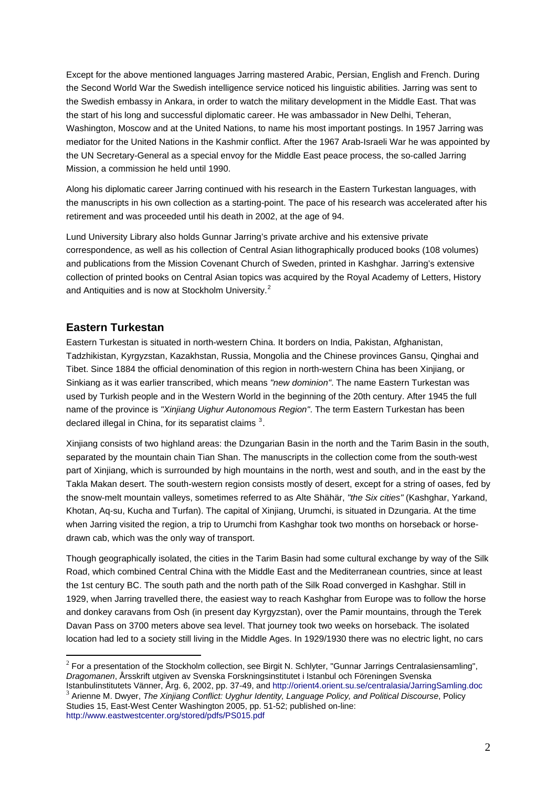Except for the above mentioned languages Jarring mastered Arabic, Persian, English and French. During the Second World War the Swedish intelligence service noticed his linguistic abilities. Jarring was sent to the Swedish embassy in Ankara, in order to watch the military development in the Middle East. That was the start of his long and successful diplomatic career. He was ambassador in New Delhi, Teheran, Washington, Moscow and at the United Nations, to name his most important postings. In 1957 Jarring was mediator for the United Nations in the Kashmir conflict. After the 1967 Arab-Israeli War he was appointed by the UN Secretary-General as a special envoy for the Middle East peace process, the so-called Jarring Mission, a commission he held until 1990.

Along his diplomatic career Jarring continued with his research in the Eastern Turkestan languages, with the manuscripts in his own collection as a starting-point. The pace of his research was accelerated after his retirement and was proceeded until his death in 2002, at the age of 94.

Lund University Library also holds Gunnar Jarring's private archive and his extensive private correspondence, as well as his collection of Central Asian lithographically produced books (108 volumes) and publications from the Mission Covenant Church of Sweden, printed in Kashghar. Jarring's extensive collection of printed books on Central Asian topics was acquired by the Royal Academy of Letters, History and Antiquities and is now at Stockholm University. $2$ 

# **Eastern Turkestan**

1

Eastern Turkestan is situated in north-western China. It borders on India, Pakistan, Afghanistan, Tadzhikistan, Kyrgyzstan, Kazakhstan, Russia, Mongolia and the Chinese provinces Gansu, Qinghai and Tibet. Since 1884 the official denomination of this region in north-western China has been Xinjiang, or Sinkiang as it was earlier transcribed, which means *"new dominion"*. The name Eastern Turkestan was used by Turkish people and in the Western World in the beginning of the 20th century. After 1945 the full name of the province is *"Xinjiang Uighur Autonomous Region"*. The term Eastern Turkestan has been declared illegal in China, for its separatist claims  $3$ .

Xinjiang consists of two highland areas: the Dzungarian Basin in the north and the Tarim Basin in the south, separated by the mountain chain Tian Shan. The manuscripts in the collection come from the south-west part of Xinjiang, which is surrounded by high mountains in the north, west and south, and in the east by the Takla Makan desert. The south-western region consists mostly of desert, except for a string of oases, fed by the snow-melt mountain valleys, sometimes referred to as Alte Shähär, *"the Six cities"* (Kashghar, Yarkand, Khotan, Aq-su, Kucha and Turfan). The capital of Xinjiang, Urumchi, is situated in Dzungaria. At the time when Jarring visited the region, a trip to Urumchi from Kashghar took two months on horseback or horsedrawn cab, which was the only way of transport.

Though geographically isolated, the cities in the Tarim Basin had some cultural exchange by way of the Silk Road, which combined Central China with the Middle East and the Mediterranean countries, since at least the 1st century BC. The south path and the north path of the Silk Road converged in Kashghar. Still in 1929, when Jarring travelled there, the easiest way to reach Kashghar from Europe was to follow the horse and donkey caravans from Osh (in present day Kyrgyzstan), over the Pamir mountains, through the Terek Davan Pass on 3700 meters above sea level. That journey took two weeks on horseback. The isolated location had led to a society still living in the Middle Ages. In 1929/1930 there was no electric light, no cars

<span id="page-1-0"></span> $2$  For a presentation of the Stockholm collection, see Birgit N. Schlyter, "Gunnar Jarrings Centralasiensamling", *Dragomanen*, Årsskrift utgiven av Svenska Forskningsinstitutet i Istanbul och Föreningen Svenska

<span id="page-1-1"></span><sup>&</sup>lt;sup>3</sup> Arienne M. Dwyer, The Xinjiang Conflict: Uyghur Identity, Language Policy, and Political Discourse, Policy Studies 15, East-West Center Washington 2005, pp. 51-52; published on-line: <http://www.eastwestcenter.org/stored/pdfs/PS015.pdf>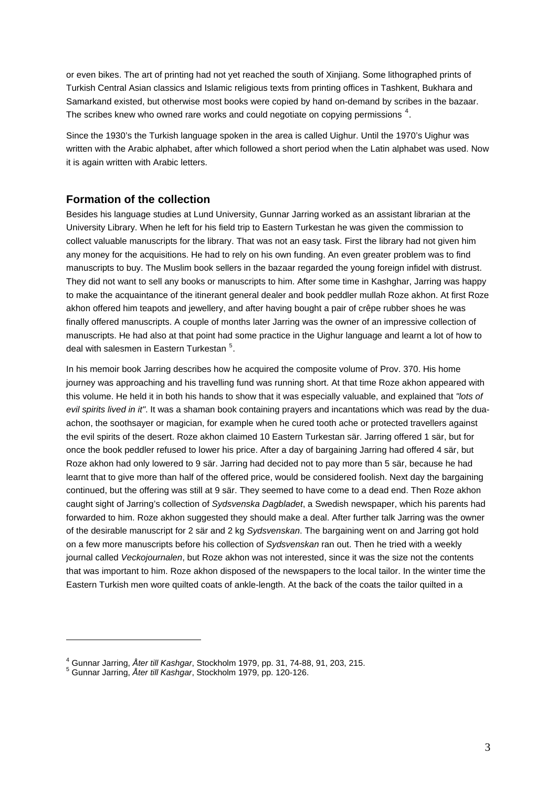or even bikes. The art of printing had not yet reached the south of Xinjiang. Some lithographed prints of Turkish Central Asian classics and Islamic religious texts from printing offices in Tashkent, Bukhara and Samarkand existed, but otherwise most books were copied by hand on-demand by scribes in the bazaar. The scribes knew who owned rare works and could negotiate on copying permissions  $4$ .

Since the 1930's the Turkish language spoken in the area is called Uighur. Until the 1970's Uighur was written with the Arabic alphabet, after which followed a short period when the Latin alphabet was used. Now it is again written with Arabic letters.

## **Formation of the collection**

Besides his language studies at Lund University, Gunnar Jarring worked as an assistant librarian at the University Library. When he left for his field trip to Eastern Turkestan he was given the commission to collect valuable manuscripts for the library. That was not an easy task. First the library had not given him any money for the acquisitions. He had to rely on his own funding. An even greater problem was to find manuscripts to buy. The Muslim book sellers in the bazaar regarded the young foreign infidel with distrust. They did not want to sell any books or manuscripts to him. After some time in Kashghar, Jarring was happy to make the acquaintance of the itinerant general dealer and book peddler mullah Roze akhon. At first Roze akhon offered him teapots and jewellery, and after having bought a pair of crêpe rubber shoes he was finally offered manuscripts. A couple of months later Jarring was the owner of an impressive collection of manuscripts. He had also at that point had some practice in the Uighur language and learnt a lot of how to deal with salesmen in Eastern Turkestan <sup>[5](#page-2-1)</sup>.

In his memoir book Jarring describes how he acquired the composite volume of Prov. 370. His home journey was approaching and his travelling fund was running short. At that time Roze akhon appeared with this volume. He held it in both his hands to show that it was especially valuable, and explained that *"lots of evil spirits lived in it"*. It was a shaman book containing prayers and incantations which was read by the duaachon, the soothsayer or magician, for example when he cured tooth ache or protected travellers against the evil spirits of the desert. Roze akhon claimed 10 Eastern Turkestan sär. Jarring offered 1 sär, but for once the book peddler refused to lower his price. After a day of bargaining Jarring had offered 4 sär, but Roze akhon had only lowered to 9 sär. Jarring had decided not to pay more than 5 sär, because he had learnt that to give more than half of the offered price, would be considered foolish. Next day the bargaining continued, but the offering was still at 9 sär. They seemed to have come to a dead end. Then Roze akhon caught sight of Jarring's collection of *Sydsvenska Dagbladet*, a Swedish newspaper, which his parents had forwarded to him. Roze akhon suggested they should make a deal. After further talk Jarring was the owner of the desirable manuscript for 2 sär and 2 kg *Sydsvenskan*. The bargaining went on and Jarring got hold on a few more manuscripts before his collection of *Sydsvenskan* ran out. Then he tried with a weekly journal called *Veckojournalen*, but Roze akhon was not interested, since it was the size not the contents that was important to him. Roze akhon disposed of the newspapers to the local tailor. In the winter time the Eastern Turkish men wore quilted coats of ankle-length. At the back of the coats the tailor quilted in a

1

<span id="page-2-0"></span><sup>&</sup>lt;sup>4</sup> Gunnar Jarring, *Åter till Kashgar*, Stockholm 1979, pp. 31, 74-88, 91, 203, 215.<br><sup>5</sup> Gunner, Jarring, *Åter till Konhaer, Stockholm 19*70, pp. 130, 136.

<span id="page-2-1"></span>Gunnar Jarring, *Åter till Kashgar*, Stockholm 1979, pp. 120-126.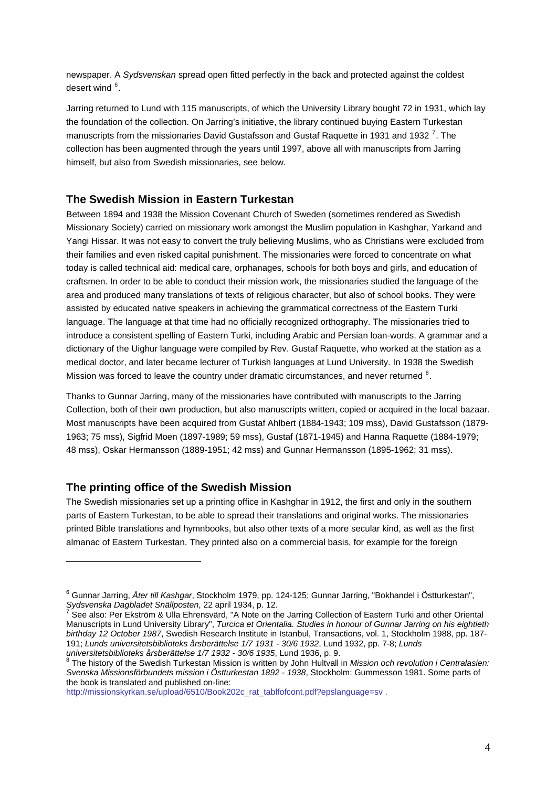newspaper. A *Sydsvenskan* spread open fitted perfectly in the back and protected against the coldest desert wind <sup>[6](#page-3-0)</sup>.

Jarring returned to Lund with 115 manuscripts, of which the University Library bought 72 in 1931, which lay the foundation of the collection. On Jarring's initiative, the library continued buying Eastern Turkestan manuscripts from the missionaries David Gustafsson and Gustaf Raquette in 1931 and 1932<sup>[7](#page-3-1)</sup>. The collection has been augmented through the years until 1997, above all with manuscripts from Jarring himself, but also from Swedish missionaries, see below.

## **The Swedish Mission in Eastern Turkestan**

Between 1894 and 1938 the Mission Covenant Church of Sweden (sometimes rendered as Swedish Missionary Society) carried on missionary work amongst the Muslim population in Kashghar, Yarkand and Yangi Hissar. It was not easy to convert the truly believing Muslims, who as Christians were excluded from their families and even risked capital punishment. The missionaries were forced to concentrate on what today is called technical aid: medical care, orphanages, schools for both boys and girls, and education of craftsmen. In order to be able to conduct their mission work, the missionaries studied the language of the area and produced many translations of texts of religious character, but also of school books. They were assisted by educated native speakers in achieving the grammatical correctness of the Eastern Turki language. The language at that time had no officially recognized orthography. The missionaries tried to introduce a consistent spelling of Eastern Turki, including Arabic and Persian loan-words. A grammar and a dictionary of the Uighur language were compiled by Rev. Gustaf Raquette, who worked at the station as a medical doctor, and later became lecturer of Turkish languages at Lund University. In 1938 the Swedish Mission was forced to leave the country under dramatic circumstances, and never returned <sup>[8](#page-3-2)</sup>.

Thanks to Gunnar Jarring, many of the missionaries have contributed with manuscripts to the Jarring Collection, both of their own production, but also manuscripts written, copied or acquired in the local bazaar. Most manuscripts have been acquired from Gustaf Ahlbert (1884-1943; 109 mss), David Gustafsson (1879- 1963; 75 mss), Sigfrid Moen (1897-1989; 59 mss), Gustaf (1871-1945) and Hanna Raquette (1884-1979; 48 mss), Oskar Hermansson (1889-1951; 42 mss) and Gunnar Hermansson (1895-1962; 31 mss).

#### **The printing office of the Swedish Mission**

<span id="page-3-0"></span><u>.</u>

The Swedish missionaries set up a printing office in Kashghar in 1912, the first and only in the southern parts of Eastern Turkestan, to be able to spread their translations and original works. The missionaries printed Bible translations and hymnbooks, but also other texts of a more secular kind, as well as the first almanac of Eastern Turkestan. They printed also on a commercial basis, for example for the foreign

<span id="page-3-1"></span><sup>6</sup> Gunnar Jarring, *Åter till Kashgar*, Stockholm 1979, pp. 124-125; Gunnar Jarring, "Bokhandel i Östturkestan", *Sydsvenska Dagbladet Snällposten*, 22 april 1934, p. 12. 7

See also: Per Ekström & Ulla Ehrensvärd, "A Note on the Jarring Collection of Eastern Turki and other Oriental Manuscripts in Lund University Library", *Turcica et Orientalia. Studies in honour of Gunnar Jarring on his eightieth birthday 12 October 1987*, Swedish Research Institute in Istanbul, Transactions, vol. 1, Stockholm 1988, pp. 187- 191; *Lunds universitetsbiblioteks årsberättelse 1/7 1931 - 30/6 1932*, Lund 1932, pp. 7-8; *Lunds universitetsbiblioteks årsberättelse 1/7 1932 - 30/6 1935*, Lund 1936, p. 9. 8

The history of the Swedish Turkestan Mission is written by John Hultvall in *Mission och revolution i Centralasien: Svenska Missionsförbundets mission i Östturkestan 1892 - 1938*, Stockholm: Gummesson 1981. Some parts of the book is translated and published on-line:

<span id="page-3-2"></span>[http://missionskyrkan.se/upload/6510/Book202c\\_rat\\_tablfofcont.pdf?epslanguage=sv](http://missionskyrkan.se/upload/6510/Book202c_rat_tablfofcont.pdf?epslanguage=sv).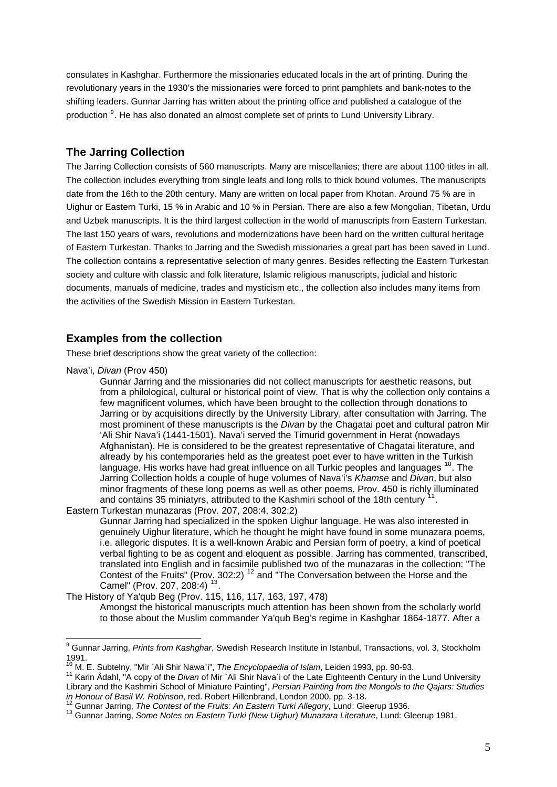consulates in Kashghar. Furthermore the missionaries educated locals in the art of printing. During the revolutionary years in the 1930's the missionaries were forced to print pamphlets and bank-notes to the shifting leaders. Gunnar Jarring has written about the printing office and published a catalogue of the production <sup>[9](#page-4-0)</sup>. He has also donated an almost complete set of prints to Lund University Library.

## **The Jarring Collection**

The Jarring Collection consists of 560 manuscripts. Many are miscellanies; there are about 1100 titles in all. The collection includes everything from single leafs and long rolls to thick bound volumes. The manuscripts date from the 16th to the 20th century. Many are written on local paper from Khotan. Around 75 % are in Uighur or Eastern Turki, 15 % in Arabic and 10 % in Persian. There are also a few Mongolian, Tibetan, Urdu and Uzbek manuscripts. It is the third largest collection in the world of manuscripts from Eastern Turkestan. The last 150 years of wars, revolutions and modernizations have been hard on the written cultural heritage of Eastern Turkestan. Thanks to Jarring and the Swedish missionaries a great part has been saved in Lund. The collection contains a representative selection of many genres. Besides reflecting the Eastern Turkestan society and culture with classic and folk literature, Islamic religious manuscripts, judicial and historic documents, manuals of medicine, trades and mysticism etc., the collection also includes many items from the activities of the Swedish Mission in Eastern Turkestan.

#### **Examples from the collection**

These brief descriptions show the great variety of the collection:

Nava'i, *Divan* (Prov 450)

Gunnar Jarring and the missionaries did not collect manuscripts for aesthetic reasons, but from a philological, cultural or historical point of view. That is why the collection only contains a few magnificent volumes, which have been brought to the collection through donations to Jarring or by acquisitions directly by the University Library, after consultation with Jarring. The most prominent of these manuscripts is the *Divan* by the Chagatai poet and cultural patron Mir 'Ali Shir Nava'i (1441-1501). Nava'i served the Timurid government in Herat (nowadays Afghanistan). He is considered to be the greatest representative of Chagatai literature, and already by his contemporaries held as the greatest poet ever to have written in the Turkish language. His works have had great influence on all Turkic peoples and languages <sup>[10](#page-4-1)</sup>. The Jarring Collection holds a couple of huge volumes of Nava'i's *Khamse* and *Divan*, but also minor fragments of these long poems as well as other poems. Prov. 450 is richly illuminated and contains 35 miniatyrs, attributed to the Kashmiri school of the 18th century Eastern Turkestan munazaras (Prov. 207, 208:4, 302:2)

Gunnar Jarring had specialized in the spoken Uighur language. He was also interested in genuinely Uighur literature, which he thought he might have found in some munazara poems, i.e. allegoric disputes. It is a well-known Arabic and Persian form of poetry, a kind of poetical verbal fighting to be as cogent and eloquent as possible. Jarring has commented, transcribed, translated into English and in facsimile published two of the munazaras in the collection: "The Contest of the Fruits" (Prov. 302:2)<sup>[12](#page-4-3)</sup> and "The Conversation between the Horse and the Camel" (Prov. 207, 208:4)<sup>[13](#page-4-4)</sup>.

The History of Ya'qub Beg (Prov. 115, 116, 117, 163, 197, 478)

Amongst the historical manuscripts much attention has been shown from the scholarly world to those about the Muslim commander Ya'qub Beg's regime in Kashghar 1864-1877. After a

<span id="page-4-0"></span> 9 Gunnar Jarring, *Prints from Kashghar*, Swedish Research Institute in Istanbul, Transactions, vol. 3, Stockholm 1991.<br><sup>10</sup> M. E. Subtelny, "Mir `Ali Shir Nawa`i", *The Encyclopaedia of Islam*, Leiden 1993, pp. 90-93.

<span id="page-4-1"></span>

<span id="page-4-2"></span><sup>11</sup> Karin Ådahl, "A copy of the *Divan* of Mir `Ali Shir Nava`i of the Late Eighteenth Century in the Lund University Library and the Kashmiri School of Miniature Painting", *Persian Painting from the Mongols to the Qajars: Studies*  in Honour of Basil W. Robinson, red. Robert Hillenbrand, London 2000, pp. 3-18.<br><sup>12</sup> Gunnar Jarring, *The Contest of the Fruits: An Eastern Turki Allegory*, Lund: Gleerup 1936.<br><sup>13</sup> Gunnar Jarring, *Some Notes on Eastern T* 

<span id="page-4-3"></span>

<span id="page-4-4"></span>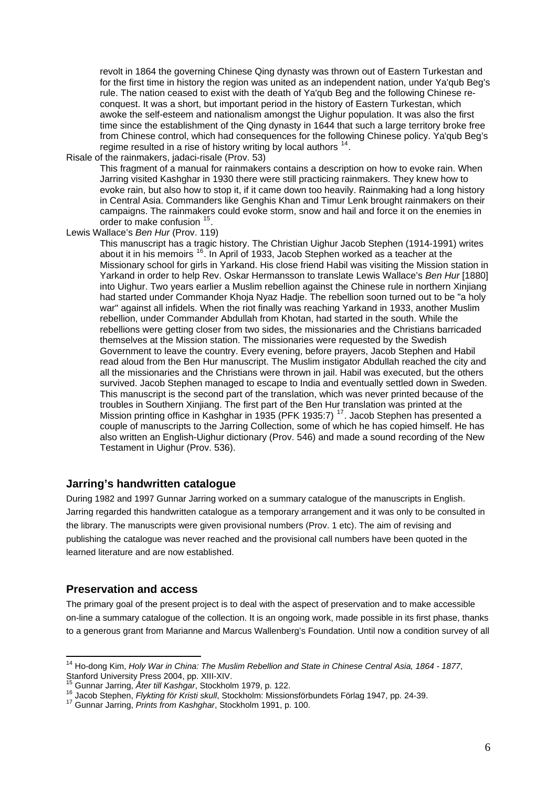revolt in 1864 the governing Chinese Qing dynasty was thrown out of Eastern Turkestan and for the first time in history the region was united as an independent nation, under Ya'qub Beg's rule. The nation ceased to exist with the death of Ya'qub Beg and the following Chinese reconquest. It was a short, but important period in the history of Eastern Turkestan, which awoke the self-esteem and nationalism amongst the Uighur population. It was also the first time since the establishment of the Qing dynasty in 1644 that such a large territory broke free from Chinese control, which had consequences for the following Chinese policy. Ya'qub Beg's regime resulted in a rise of history writing by local authors  $14$ .

Risale of the rainmakers, jadaci-risale (Prov. 53)

This fragment of a manual for rainmakers contains a description on how to evoke rain. When Jarring visited Kashghar in 1930 there were still practicing rainmakers. They knew how to evoke rain, but also how to stop it, if it came down too heavily. Rainmaking had a long history in Central Asia. Commanders like Genghis Khan and Timur Lenk brought rainmakers on their campaigns. The rainmakers could evoke storm, snow and hail and force it on the enemies in order to make confusion <sup>[15](#page-5-1)</sup>.

Lewis Wallace's *Ben Hur* (Prov. 119)

This manuscript has a tragic history. The Christian Uighur Jacob Stephen (1914-1991) writes about it in his memoirs <sup>[16](#page-5-2)</sup>. In April of 1933, Jacob Stephen worked as a teacher at the Missionary school for girls in Yarkand. His close friend Habil was visiting the Mission station in Yarkand in order to help Rev. Oskar Hermansson to translate Lewis Wallace's *Ben Hur* [1880] into Uighur. Two years earlier a Muslim rebellion against the Chinese rule in northern Xinjiang had started under Commander Khoja Nyaz Hadje. The rebellion soon turned out to be "a holy war" against all infidels. When the riot finally was reaching Yarkand in 1933, another Muslim rebellion, under Commander Abdullah from Khotan, had started in the south. While the rebellions were getting closer from two sides, the missionaries and the Christians barricaded themselves at the Mission station. The missionaries were requested by the Swedish Government to leave the country. Every evening, before prayers, Jacob Stephen and Habil read aloud from the Ben Hur manuscript. The Muslim instigator Abdullah reached the city and all the missionaries and the Christians were thrown in jail. Habil was executed, but the others survived. Jacob Stephen managed to escape to India and eventually settled down in Sweden. This manuscript is the second part of the translation, which was never printed because of the troubles in Southern Xinjiang. The first part of the Ben Hur translation was printed at the Mission printing office in Kashghar in 1935 (PFK 1935:7)<sup>[17](#page-5-3)</sup>. Jacob Stephen has presented a couple of manuscripts to the Jarring Collection, some of which he has copied himself. He has also written an English-Uighur dictionary (Prov. 546) and made a sound recording of the New Testament in Uighur (Prov. 536).

#### **Jarring's handwritten catalogue**

During 1982 and 1997 Gunnar Jarring worked on a summary catalogue of the manuscripts in English. Jarring regarded this handwritten catalogue as a temporary arrangement and it was only to be consulted in the library. The manuscripts were given provisional numbers (Prov. 1 etc). The aim of revising and publishing the catalogue was never reached and the provisional call numbers have been quoted in the learned literature and are now established.

#### **Preservation and access**

1

The primary goal of the present project is to deal with the aspect of preservation and to make accessible on-line a summary catalogue of the collection. It is an ongoing work, made possible in its first phase, thanks to a generous grant from Marianne and Marcus Wallenberg's Foundation. Until now a condition survey of all

<span id="page-5-0"></span><sup>14</sup> Ho-dong Kim, *Holy War in China: The Muslim Rebellion and State in Chinese Central Asia, 1864 - 1877*, Stanford University Press 2004, pp. XIII-XIV.<br>
<sup>15</sup> Gunnar Jarring, *Åter till Kashgar*, Stockholm 1979, p. 122.

<span id="page-5-2"></span><span id="page-5-1"></span><sup>16</sup> Jacob Stephen, *Flykting för Kristi skull*, Stockholm: Missionsförbundets Förlag 1947, pp. 24-39.<br><sup>17</sup> Gunnar Jarring, *Prints from Kashghar*, Stockholm 1991, p. 100.

<span id="page-5-3"></span>